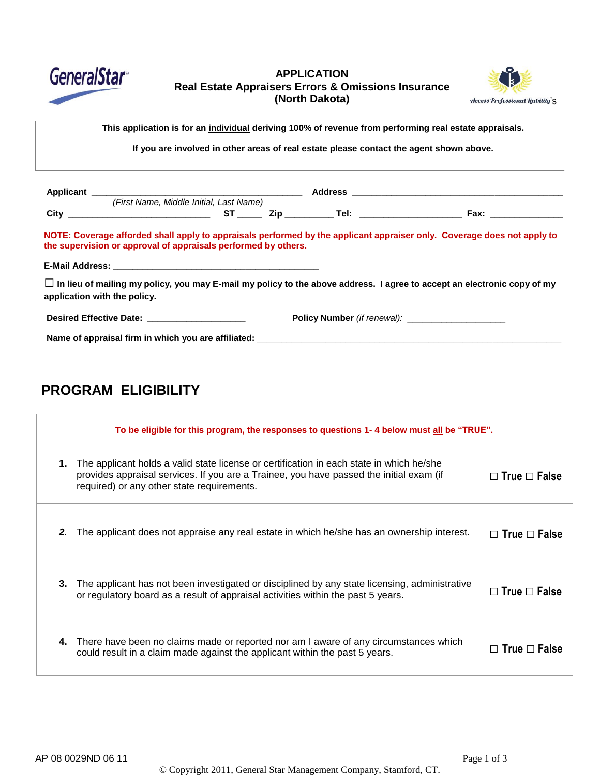

### **APPLICATION Real Estate Appraisers Errors & Omissions Insurance (North Dakota)**  $\qquad \qquad \text{Access Professional (iability's)}$



This application is for an individual deriving 100% of revenue from performing real estate appraisals. <Telephone>

**If you are involved in other areas of real estate please contact the agent shown above.**

|                                                                | (First Name, Middle Initial, Last Name) |  |  |                                                                                                                                |
|----------------------------------------------------------------|-----------------------------------------|--|--|--------------------------------------------------------------------------------------------------------------------------------|
|                                                                |                                         |  |  |                                                                                                                                |
| the supervision or approval of appraisals performed by others. |                                         |  |  | NOTE: Coverage afforded shall apply to appraisals performed by the applicant appraiser only. Coverage does not apply to        |
|                                                                |                                         |  |  |                                                                                                                                |
| application with the policy.                                   |                                         |  |  | $\Box$ In lieu of mailing my policy, you may E-mail my policy to the above address. I agree to accept an electronic copy of my |
| Desired Effective Date: New York 1999                          |                                         |  |  |                                                                                                                                |
|                                                                |                                         |  |  | Name of appraisal firm in which you are affiliated: Name of approximate the set of appraisal firm in which you are affiliated: |

# **PROGRAM ELIGIBILITY**

| To be eligible for this program, the responses to questions 1-4 below must all be "TRUE". |                                                                                                                                                                                                                                   |                          |  |
|-------------------------------------------------------------------------------------------|-----------------------------------------------------------------------------------------------------------------------------------------------------------------------------------------------------------------------------------|--------------------------|--|
| 1.                                                                                        | The applicant holds a valid state license or certification in each state in which he/she<br>provides appraisal services. If you are a Trainee, you have passed the initial exam (if<br>required) or any other state requirements. | $\Box$ True $\Box$ False |  |
| 2.                                                                                        | The applicant does not appraise any real estate in which he/she has an ownership interest.                                                                                                                                        | $\Box$ True $\Box$ False |  |
| 3.                                                                                        | The applicant has not been investigated or disciplined by any state licensing, administrative<br>or regulatory board as a result of appraisal activities within the past 5 years.                                                 | $\Box$ True $\Box$ False |  |
| 4.                                                                                        | There have been no claims made or reported nor am I aware of any circumstances which<br>could result in a claim made against the applicant within the past 5 years.                                                               | $\Box$ True $\Box$ False |  |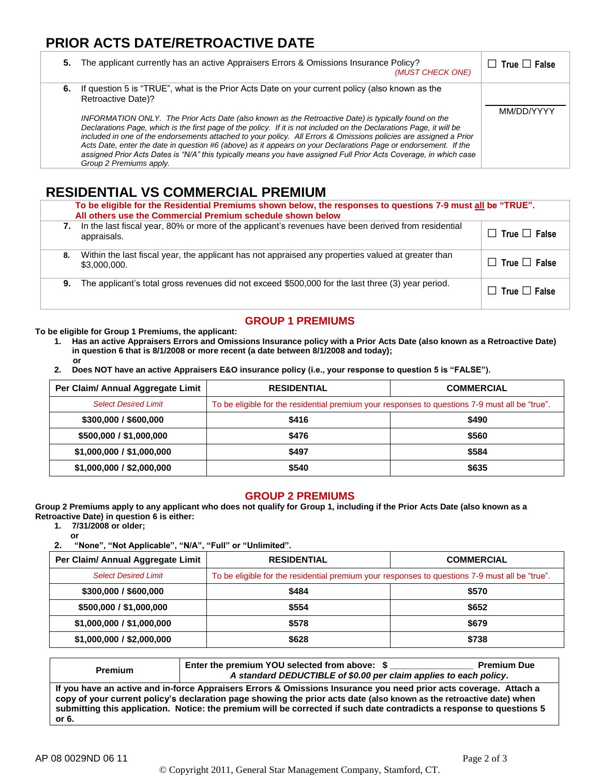# **PRIOR ACTS DATE/RETROACTIVE DATE**

| 5. | The applicant currently has an active Appraisers Errors & Omissions Insurance Policy?<br>(MUST CHECK ONE)                                                                                                                                                                                                                                                                                                                                                                                                                                                                                                                                                                                                                                       | $\Box$ True $\Box$ False |
|----|-------------------------------------------------------------------------------------------------------------------------------------------------------------------------------------------------------------------------------------------------------------------------------------------------------------------------------------------------------------------------------------------------------------------------------------------------------------------------------------------------------------------------------------------------------------------------------------------------------------------------------------------------------------------------------------------------------------------------------------------------|--------------------------|
|    | 6. If question 5 is "TRUE", what is the Prior Acts Date on your current policy (also known as the<br>Retroactive Date)?<br>INFORMATION ONLY. The Prior Acts Date (also known as the Retroactive Date) is typically found on the<br>Declarations Page, which is the first page of the policy. If it is not included on the Declarations Page, it will be<br>included in one of the endorsements attached to your policy. All Errors & Omissions policies are assigned a Prior<br>Acts Date, enter the date in question #6 (above) as it appears on your Declarations Page or endorsement. If the<br>assigned Prior Acts Dates is "N/A" this typically means you have assigned Full Prior Acts Coverage, in which case<br>Group 2 Premiums apply. | MM/DD/YYYY               |

## **RESIDENTIAL VS COMMERCIAL PREMIUM**

|    | To be eligible for the Residential Premiums shown below, the responses to questions 7-9 must all be "TRUE".<br>All others use the Commercial Premium schedule shown below |                          |  |  |
|----|---------------------------------------------------------------------------------------------------------------------------------------------------------------------------|--------------------------|--|--|
| 7. | In the last fiscal year, 80% or more of the applicant's revenues have been derived from residential<br>appraisals.                                                        | $\Box$ True $\Box$ False |  |  |
| 8. | Within the last fiscal year, the applicant has not appraised any properties valued at greater than<br>\$3,000,000.                                                        | $\Box$ True $\Box$ False |  |  |
| 9. | The applicant's total gross revenues did not exceed \$500,000 for the last three (3) year period.                                                                         | $\Box$ True $\Box$ False |  |  |

## **GROUP 1 PREMIUMS**

**To be eligible for Group 1 Premiums, the applicant:**

- **1. Has an active Appraisers Errors and Omissions Insurance policy with a Prior Acts Date (also known as a Retroactive Date) in question 6 that is 8/1/2008 or more recent (a date between 8/1/2008 and today); or**
- **2. Does NOT have an active Appraisers E&O insurance policy (i.e., your response to question 5 is "FALSE").**

| Per Claim/ Annual Aggregate Limit | <b>RESIDENTIAL</b>                                                                             | <b>COMMERCIAL</b> |  |
|-----------------------------------|------------------------------------------------------------------------------------------------|-------------------|--|
| <b>Select Desired Limit</b>       | To be eligible for the residential premium your responses to questions 7-9 must all be "true". |                   |  |
| \$300,000 / \$600,000             | \$416                                                                                          | \$490             |  |
| \$500,000 / \$1,000,000           | \$476                                                                                          | \$560             |  |
| \$1,000,000 / \$1,000,000         | \$497                                                                                          | \$584             |  |
| \$1,000,000 / \$2,000,000         | \$540                                                                                          | \$635             |  |

#### **GROUP 2 PREMIUMS**

**Group 2 Premiums apply to any applicant who does not qualify for Group 1, including if the Prior Acts Date (also known as a Retroactive Date) in question 6 is either:**

**1. 7/31/2008 or older;**

**or 2. "None", "Not Applicable", "N/A", "Full" or "Unlimited".**

| Per Claim/ Annual Aggregate Limit | <b>RESIDENTIAL</b>                                                                             | <b>COMMERCIAL</b> |  |
|-----------------------------------|------------------------------------------------------------------------------------------------|-------------------|--|
| <b>Select Desired Limit</b>       | To be eligible for the residential premium your responses to questions 7-9 must all be "true". |                   |  |
| \$300,000 / \$600,000             | \$484                                                                                          | \$570             |  |
| \$500,000 / \$1,000,000           | \$554                                                                                          | \$652             |  |
| \$1,000,000 / \$1,000,000         | \$578                                                                                          | \$679             |  |
| \$1,000,000 / \$2,000,000         | \$628                                                                                          | \$738             |  |

| <b>Premium</b>                                                                                                                                                                                                                                                                                                                                                              | Enter the premium YOU selected from above: \$<br>A standard DEDUCTIBLE of \$0.00 per claim applies to each policy. | <b>Premium Due</b> |
|-----------------------------------------------------------------------------------------------------------------------------------------------------------------------------------------------------------------------------------------------------------------------------------------------------------------------------------------------------------------------------|--------------------------------------------------------------------------------------------------------------------|--------------------|
| If you have an active and in-force Appraisers Errors & Omissions Insurance you need prior acts coverage. Attach a<br>copy of your current policy's declaration page showing the prior acts date (also known as the retroactive date) when<br>submitting this application. Notice: the premium will be corrected if such date contradicts a response to questions 5<br>or 6. |                                                                                                                    |                    |